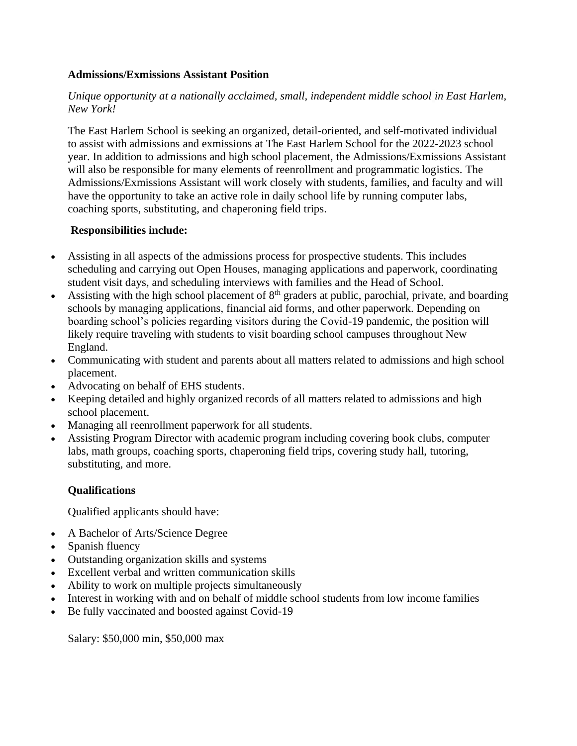### **Admissions/Exmissions Assistant Position**

# *Unique opportunity at a nationally acclaimed, small, independent middle school in East Harlem, New York!*

The East Harlem School is seeking an organized, detail-oriented, and self-motivated individual to assist with admissions and exmissions at The East Harlem School for the 2022-2023 school year. In addition to admissions and high school placement, the Admissions/Exmissions Assistant will also be responsible for many elements of reenrollment and programmatic logistics. The Admissions/Exmissions Assistant will work closely with students, families, and faculty and will have the opportunity to take an active role in daily school life by running computer labs, coaching sports, substituting, and chaperoning field trips.

# **Responsibilities include:**

- Assisting in all aspects of the admissions process for prospective students. This includes scheduling and carrying out Open Houses, managing applications and paperwork, coordinating student visit days, and scheduling interviews with families and the Head of School.
- Assisting with the high school placement of 8<sup>th</sup> graders at public, parochial, private, and boarding schools by managing applications, financial aid forms, and other paperwork. Depending on boarding school's policies regarding visitors during the Covid-19 pandemic, the position will likely require traveling with students to visit boarding school campuses throughout New England.
- Communicating with student and parents about all matters related to admissions and high school placement.
- Advocating on behalf of EHS students.
- Keeping detailed and highly organized records of all matters related to admissions and high school placement.
- Managing all reenrollment paperwork for all students.
- Assisting Program Director with academic program including covering book clubs, computer labs, math groups, coaching sports, chaperoning field trips, covering study hall, tutoring, substituting, and more.

# **Qualifications**

Qualified applicants should have:

- A Bachelor of Arts/Science Degree
- Spanish fluency
- Outstanding organization skills and systems
- Excellent verbal and written communication skills
- Ability to work on multiple projects simultaneously
- Interest in working with and on behalf of middle school students from low income families
- Be fully vaccinated and boosted against Covid-19

Salary: \$50,000 min, \$50,000 max